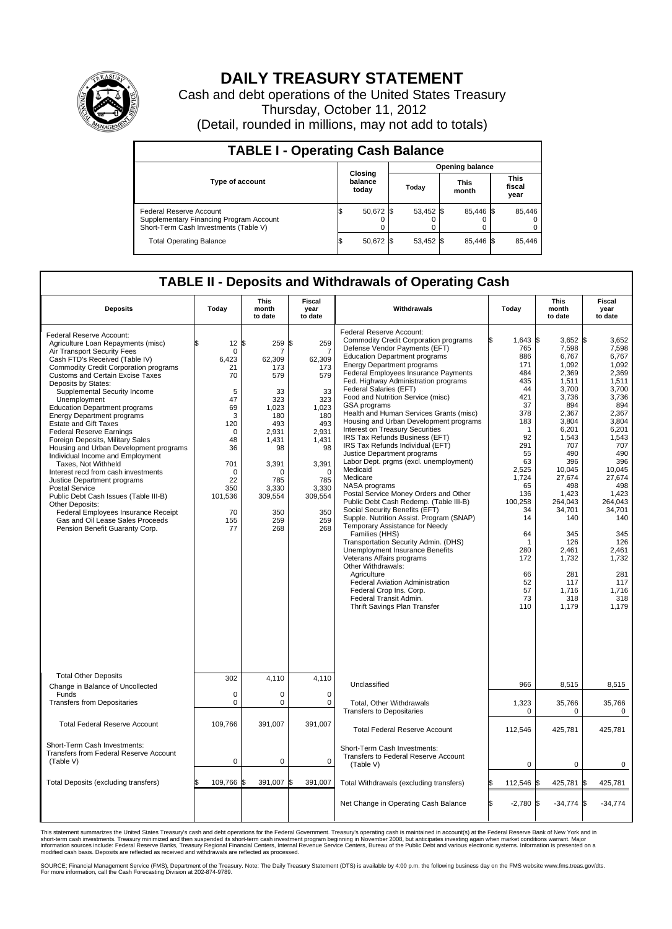

## **DAILY TREASURY STATEMENT**

Cash and debt operations of the United States Treasury Thursday, October 11, 2012 (Detail, rounded in millions, may not add to totals)

| <b>TABLE I - Operating Cash Balance</b>                                                                     |                             |           |  |                               |  |                               |  |        |  |  |
|-------------------------------------------------------------------------------------------------------------|-----------------------------|-----------|--|-------------------------------|--|-------------------------------|--|--------|--|--|
|                                                                                                             |                             |           |  | <b>Opening balance</b>        |  |                               |  |        |  |  |
| <b>Type of account</b>                                                                                      | Closing<br>balance<br>today |           |  | <b>This</b><br>Today<br>month |  | <b>This</b><br>fiscal<br>year |  |        |  |  |
| Federal Reserve Account<br>Supplementary Financing Program Account<br>Short-Term Cash Investments (Table V) |                             | 50,672 \$ |  | 53,452 \$                     |  | 85.446 \$<br>0                |  | 85,446 |  |  |
| <b>Total Operating Balance</b>                                                                              |                             | 50,672 \$ |  | 53,452 \$                     |  | 85.446 \$                     |  | 85,446 |  |  |

## **TABLE II - Deposits and Withdrawals of Operating Cash**

| <b>Deposits</b>                                                                                                                                                                                                                                                                                                                                                                                                                                                                                                                                                                                                                                                                                                                                                                                                                                             | Today                                                                                                                                                                | This<br>month<br>to date                                                                                                                                          | Fiscal<br>year<br>to date                                                                                                                                                   | Withdrawals                                                                                                                                                                                                                                                                                                                                                                                                                                                                                                                                                                                                                                                                                                                                                                                                                                                                                                                                                                                                                                                                                                                                                                   |                                                                                                                                                                                                                                    | This<br>month<br>to date                                                                                                                                                                                                                                                         | Fiscal<br>year<br>to date                                                                                                                                                                                                                                                   |  |  |
|-------------------------------------------------------------------------------------------------------------------------------------------------------------------------------------------------------------------------------------------------------------------------------------------------------------------------------------------------------------------------------------------------------------------------------------------------------------------------------------------------------------------------------------------------------------------------------------------------------------------------------------------------------------------------------------------------------------------------------------------------------------------------------------------------------------------------------------------------------------|----------------------------------------------------------------------------------------------------------------------------------------------------------------------|-------------------------------------------------------------------------------------------------------------------------------------------------------------------|-----------------------------------------------------------------------------------------------------------------------------------------------------------------------------|-------------------------------------------------------------------------------------------------------------------------------------------------------------------------------------------------------------------------------------------------------------------------------------------------------------------------------------------------------------------------------------------------------------------------------------------------------------------------------------------------------------------------------------------------------------------------------------------------------------------------------------------------------------------------------------------------------------------------------------------------------------------------------------------------------------------------------------------------------------------------------------------------------------------------------------------------------------------------------------------------------------------------------------------------------------------------------------------------------------------------------------------------------------------------------|------------------------------------------------------------------------------------------------------------------------------------------------------------------------------------------------------------------------------------|----------------------------------------------------------------------------------------------------------------------------------------------------------------------------------------------------------------------------------------------------------------------------------|-----------------------------------------------------------------------------------------------------------------------------------------------------------------------------------------------------------------------------------------------------------------------------|--|--|
| Federal Reserve Account:<br>Agriculture Loan Repayments (misc)<br>Air Transport Security Fees<br>Cash FTD's Received (Table IV)<br><b>Commodity Credit Corporation programs</b><br><b>Customs and Certain Excise Taxes</b><br>Deposits by States:<br>Supplemental Security Income<br>Unemployment<br><b>Education Department programs</b><br><b>Energy Department programs</b><br><b>Estate and Gift Taxes</b><br><b>Federal Reserve Earnings</b><br>Foreign Deposits, Military Sales<br>Housing and Urban Development programs<br>Individual Income and Employment<br>Taxes, Not Withheld<br>Interest recd from cash investments<br>Justice Department programs<br>Postal Service<br>Public Debt Cash Issues (Table III-B)<br>Other Deposits:<br>Federal Employees Insurance Receipt<br>Gas and Oil Lease Sales Proceeds<br>Pension Benefit Guaranty Corp. | $12 \,$ \$<br>\$.<br>0<br>6,423<br>21<br>70<br>5<br>47<br>69<br>3<br>120<br>$\mathbf 0$<br>48<br>36<br>701<br>$\mathbf 0$<br>22<br>350<br>101,536<br>70<br>155<br>77 | 259<br>7<br>62,309<br>173<br>579<br>33<br>323<br>1.023<br>180<br>493<br>2,931<br>1.431<br>98<br>3,391<br>$\Omega$<br>785<br>3,330<br>309,554<br>350<br>259<br>268 | 259<br>\$.<br>7<br>62,309<br>173<br>579<br>33<br>323<br>1.023<br>180<br>493<br>2,931<br>1,431<br>98<br>3,391<br>$\mathbf 0$<br>785<br>3,330<br>309,554<br>350<br>259<br>268 | Federal Reserve Account:<br><b>Commodity Credit Corporation programs</b><br>Defense Vendor Payments (EFT)<br><b>Education Department programs</b><br><b>Energy Department programs</b><br>Federal Employees Insurance Payments<br>Fed. Highway Administration programs<br>Federal Salaries (EFT)<br>Food and Nutrition Service (misc)<br>GSA programs<br>Health and Human Services Grants (misc)<br>Housing and Urban Development programs<br><b>Interest on Treasury Securities</b><br>IRS Tax Refunds Business (EFT)<br>IRS Tax Refunds Individual (EFT)<br>Justice Department programs<br>Labor Dept. prgms (excl. unemployment)<br>Medicaid<br>Medicare<br>NASA programs<br>Postal Service Money Orders and Other<br>Public Debt Cash Redemp. (Table III-B)<br>Social Security Benefits (EFT)<br>Supple. Nutrition Assist. Program (SNAP)<br>Temporary Assistance for Needy<br>Families (HHS)<br>Transportation Security Admin. (DHS)<br><b>Unemployment Insurance Benefits</b><br>Veterans Affairs programs<br>Other Withdrawals:<br>Agriculture<br>Federal Aviation Administration<br>Federal Crop Ins. Corp.<br>Federal Transit Admin.<br>Thrift Savings Plan Transfer | 1,643 \$<br>765<br>886<br>171<br>484<br>435<br>44<br>421<br>37<br>378<br>183<br>1<br>92<br>291<br>55<br>63<br>2,525<br>1,724<br>65<br>136<br>100,258<br>34<br>14<br>64<br>$\mathbf 1$<br>280<br>172<br>66<br>52<br>57<br>73<br>110 | $3,652$ \$<br>7,598<br>6,767<br>1,092<br>2,369<br>1,511<br>3,700<br>3,736<br>894<br>2,367<br>3,804<br>6,201<br>1,543<br>707<br>490<br>396<br>10,045<br>27,674<br>498<br>1.423<br>264,043<br>34,701<br>140<br>345<br>126<br>2.461<br>1,732<br>281<br>117<br>1,716<br>318<br>1,179 | 3,652<br>7,598<br>6,767<br>1,092<br>2,369<br>1.511<br>3,700<br>3,736<br>894<br>2,367<br>3.804<br>6,201<br>1,543<br>707<br>490<br>396<br>10,045<br>27,674<br>498<br>1,423<br>264,043<br>34,701<br>140<br>345<br>126<br>2.461<br>1,732<br>281<br>117<br>1,716<br>318<br>1,179 |  |  |
| <b>Total Other Deposits</b><br>Change in Balance of Uncollected                                                                                                                                                                                                                                                                                                                                                                                                                                                                                                                                                                                                                                                                                                                                                                                             | 302                                                                                                                                                                  | 4,110                                                                                                                                                             | 4,110                                                                                                                                                                       | Unclassified                                                                                                                                                                                                                                                                                                                                                                                                                                                                                                                                                                                                                                                                                                                                                                                                                                                                                                                                                                                                                                                                                                                                                                  | 966                                                                                                                                                                                                                                | 8,515                                                                                                                                                                                                                                                                            | 8,515                                                                                                                                                                                                                                                                       |  |  |
| Funds<br><b>Transfers from Depositaries</b>                                                                                                                                                                                                                                                                                                                                                                                                                                                                                                                                                                                                                                                                                                                                                                                                                 | $\mathbf 0$<br>0                                                                                                                                                     | $\mathbf 0$<br>$\mathbf 0$                                                                                                                                        | $\mathbf 0$<br>$\mathbf 0$                                                                                                                                                  | Total, Other Withdrawals<br><b>Transfers to Depositaries</b>                                                                                                                                                                                                                                                                                                                                                                                                                                                                                                                                                                                                                                                                                                                                                                                                                                                                                                                                                                                                                                                                                                                  | 1,323<br>0                                                                                                                                                                                                                         | 35,766<br>0                                                                                                                                                                                                                                                                      | 35,766<br>0                                                                                                                                                                                                                                                                 |  |  |
| <b>Total Federal Reserve Account</b>                                                                                                                                                                                                                                                                                                                                                                                                                                                                                                                                                                                                                                                                                                                                                                                                                        | 109,766                                                                                                                                                              | 391,007                                                                                                                                                           | 391,007                                                                                                                                                                     | <b>Total Federal Reserve Account</b>                                                                                                                                                                                                                                                                                                                                                                                                                                                                                                                                                                                                                                                                                                                                                                                                                                                                                                                                                                                                                                                                                                                                          | 112,546                                                                                                                                                                                                                            | 425,781                                                                                                                                                                                                                                                                          | 425,781                                                                                                                                                                                                                                                                     |  |  |
| Short-Term Cash Investments:<br>Transfers from Federal Reserve Account<br>(Table V)                                                                                                                                                                                                                                                                                                                                                                                                                                                                                                                                                                                                                                                                                                                                                                         | $\mathbf 0$                                                                                                                                                          | $\mathbf 0$                                                                                                                                                       | $\mathbf 0$                                                                                                                                                                 | Short-Term Cash Investments:<br>Transfers to Federal Reserve Account<br>(Table V)                                                                                                                                                                                                                                                                                                                                                                                                                                                                                                                                                                                                                                                                                                                                                                                                                                                                                                                                                                                                                                                                                             | $\mathbf 0$                                                                                                                                                                                                                        | 0                                                                                                                                                                                                                                                                                | $\mathbf 0$                                                                                                                                                                                                                                                                 |  |  |
| Total Deposits (excluding transfers)                                                                                                                                                                                                                                                                                                                                                                                                                                                                                                                                                                                                                                                                                                                                                                                                                        | 109,766                                                                                                                                                              | 391,007<br>\$                                                                                                                                                     | 391,007                                                                                                                                                                     | Total Withdrawals (excluding transfers)                                                                                                                                                                                                                                                                                                                                                                                                                                                                                                                                                                                                                                                                                                                                                                                                                                                                                                                                                                                                                                                                                                                                       | 112,546                                                                                                                                                                                                                            | 425,781                                                                                                                                                                                                                                                                          | 425,781<br>1\$                                                                                                                                                                                                                                                              |  |  |
|                                                                                                                                                                                                                                                                                                                                                                                                                                                                                                                                                                                                                                                                                                                                                                                                                                                             |                                                                                                                                                                      |                                                                                                                                                                   |                                                                                                                                                                             | Net Change in Operating Cash Balance                                                                                                                                                                                                                                                                                                                                                                                                                                                                                                                                                                                                                                                                                                                                                                                                                                                                                                                                                                                                                                                                                                                                          | $-2,780$ \$                                                                                                                                                                                                                        | $-34,774$ \$                                                                                                                                                                                                                                                                     | $-34,774$                                                                                                                                                                                                                                                                   |  |  |

This statement summarizes the United States Treasury's cash and debt operations for the Federal Government. Treasury's operating cash is maintained in account(s) at the Federal Reserve Bank of New York and in<br>short-term ca

SOURCE: Financial Management Service (FMS), Department of the Treasury. Note: The Daily Treasury Statement (DTS) is available by 4:00 p.m. the following business day on the FMS website www.fms.treas.gov/dts.<br>For more infor